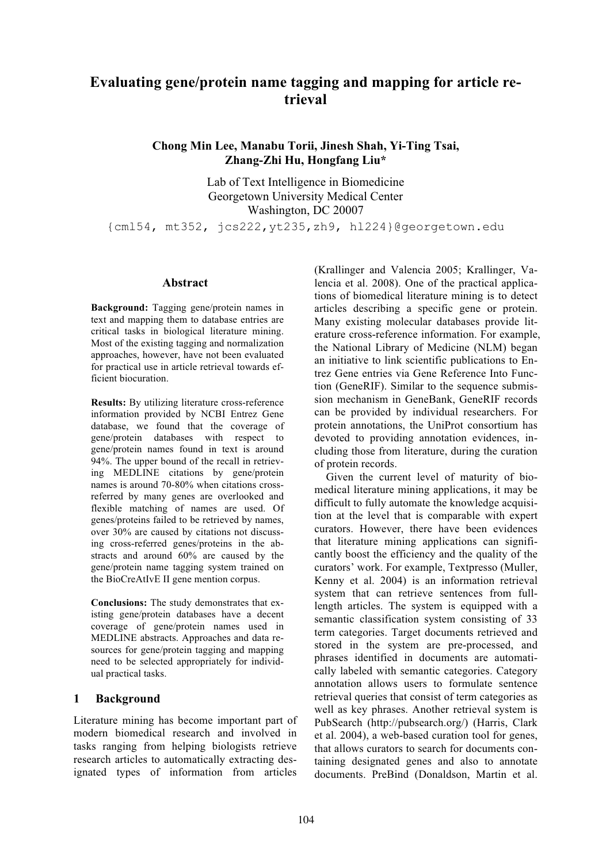# **Evaluating gene/protein name tagging and mapping for article retrieval**

## **Chong Min Lee, Manabu Torii, Jinesh Shah, Yi-Ting Tsai, Zhang-Zhi Hu, Hongfang Liu\***

Lab of Text Intelligence in Biomedicine Georgetown University Medical Center Washington, DC 20007

{cml54, mt352, jcs222,yt235,zh9, hl224}@georgetown.edu

### **Abstract**

**Background:** Tagging gene/protein names in text and mapping them to database entries are critical tasks in biological literature mining. Most of the existing tagging and normalization approaches, however, have not been evaluated for practical use in article retrieval towards efficient biocuration.

**Results:** By utilizing literature cross-reference information provided by NCBI Entrez Gene database, we found that the coverage of gene/protein databases with respect to gene/protein names found in text is around 94%. The upper bound of the recall in retrieving MEDLINE citations by gene/protein names is around 70-80% when citations crossreferred by many genes are overlooked and flexible matching of names are used. Of genes/proteins failed to be retrieved by names, over 30% are caused by citations not discussing cross-referred genes/proteins in the abstracts and around 60% are caused by the gene/protein name tagging system trained on the BioCreAtIvE II gene mention corpus.

**Conclusions:** The study demonstrates that existing gene/protein databases have a decent coverage of gene/protein names used in MEDLINE abstracts. Approaches and data resources for gene/protein tagging and mapping need to be selected appropriately for individual practical tasks.

### **1 Background**

Literature mining has become important part of modern biomedical research and involved in tasks ranging from helping biologists retrieve research articles to automatically extracting designated types of information from articles

(Krallinger and Valencia 2005; Krallinger, Valencia et al. 2008). One of the practical applications of biomedical literature mining is to detect articles describing a specific gene or protein. Many existing molecular databases provide literature cross-reference information. For example, the National Library of Medicine (NLM) began an initiative to link scientific publications to Entrez Gene entries via Gene Reference Into Function (GeneRIF). Similar to the sequence submission mechanism in GeneBank, GeneRIF records can be provided by individual researchers. For protein annotations, the UniProt consortium has devoted to providing annotation evidences, including those from literature, during the curation of protein records.

Given the current level of maturity of biomedical literature mining applications, it may be difficult to fully automate the knowledge acquisition at the level that is comparable with expert curators. However, there have been evidences that literature mining applications can significantly boost the efficiency and the quality of the curators' work. For example, Textpresso (Muller, Kenny et al. 2004) is an information retrieval system that can retrieve sentences from fulllength articles. The system is equipped with a semantic classification system consisting of 33 term categories. Target documents retrieved and stored in the system are pre-processed, and phrases identified in documents are automatically labeled with semantic categories. Category annotation allows users to formulate sentence retrieval queries that consist of term categories as well as key phrases. Another retrieval system is PubSearch (http://pubsearch.org/) (Harris, Clark et al. 2004), a web-based curation tool for genes, that allows curators to search for documents containing designated genes and also to annotate documents. PreBind (Donaldson, Martin et al.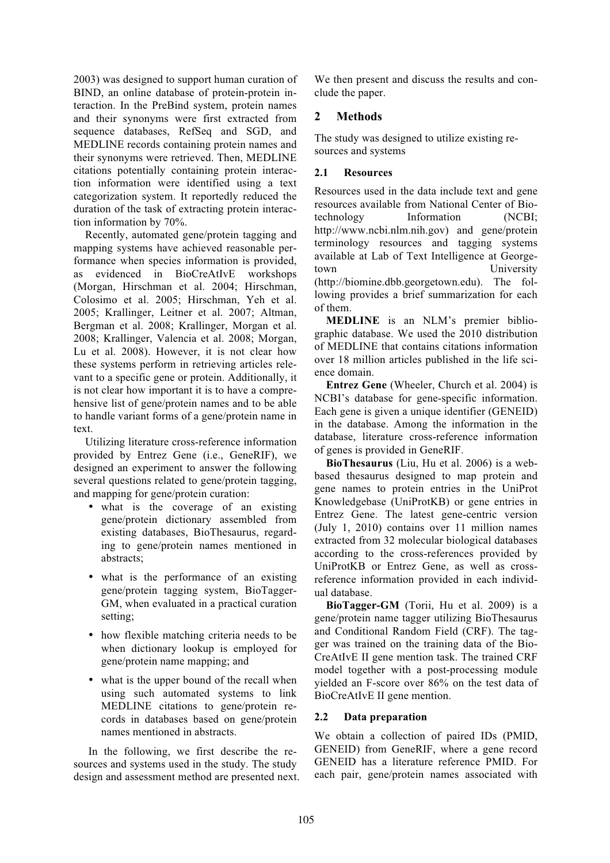2003) was designed to support human curation of BIND, an online database of protein-protein interaction. In the PreBind system, protein names and their synonyms were first extracted from sequence databases, RefSeq and SGD, and MEDLINE records containing protein names and their synonyms were retrieved. Then, MEDLINE citations potentially containing protein interaction information were identified using a text categorization system. It reportedly reduced the duration of the task of extracting protein interaction information by 70%.

Recently, automated gene/protein tagging and mapping systems have achieved reasonable performance when species information is provided, as evidenced in BioCreAtIvE workshops (Morgan, Hirschman et al. 2004; Hirschman, Colosimo et al. 2005; Hirschman, Yeh et al. 2005; Krallinger, Leitner et al. 2007; Altman, Bergman et al. 2008; Krallinger, Morgan et al. 2008; Krallinger, Valencia et al. 2008; Morgan, Lu et al. 2008). However, it is not clear how these systems perform in retrieving articles relevant to a specific gene or protein. Additionally, it is not clear how important it is to have a comprehensive list of gene/protein names and to be able to handle variant forms of a gene/protein name in text.

Utilizing literature cross-reference information provided by Entrez Gene (i.e., GeneRIF), we designed an experiment to answer the following several questions related to gene/protein tagging, and mapping for gene/protein curation:

- what is the coverage of an existing gene/protein dictionary assembled from existing databases, BioThesaurus, regarding to gene/protein names mentioned in abstracts;
- what is the performance of an existing gene/protein tagging system, BioTagger-GM, when evaluated in a practical curation setting;
- how flexible matching criteria needs to be when dictionary lookup is employed for gene/protein name mapping; and
- what is the upper bound of the recall when using such automated systems to link MEDLINE citations to gene/protein records in databases based on gene/protein names mentioned in abstracts.

In the following, we first describe the resources and systems used in the study. The study design and assessment method are presented next.

We then present and discuss the results and conclude the paper.

## **2 Methods**

The study was designed to utilize existing resources and systems

### **2.1 Resources**

Resources used in the data include text and gene resources available from National Center of Biotechnology Information (NCBI; http://www.ncbi.nlm.nih.gov) and gene/protein terminology resources and tagging systems available at Lab of Text Intelligence at Georgetown University (http://biomine.dbb.georgetown.edu). The following provides a brief summarization for each of them.

**MEDLINE** is an NLM's premier bibliographic database. We used the 2010 distribution of MEDLINE that contains citations information over 18 million articles published in the life science domain.

**Entrez Gene** (Wheeler, Church et al. 2004) is NCBI's database for gene-specific information. Each gene is given a unique identifier (GENEID) in the database. Among the information in the database, literature cross-reference information of genes is provided in GeneRIF.

**BioThesaurus** (Liu, Hu et al. 2006) is a webbased thesaurus designed to map protein and gene names to protein entries in the UniProt Knowledgebase (UniProtKB) or gene entries in Entrez Gene. The latest gene-centric version (July 1, 2010) contains over 11 million names extracted from 32 molecular biological databases according to the cross-references provided by UniProtKB or Entrez Gene, as well as crossreference information provided in each individual database.

**BioTagger-GM** (Torii, Hu et al. 2009) is a gene/protein name tagger utilizing BioThesaurus and Conditional Random Field (CRF). The tagger was trained on the training data of the Bio-CreAtIvE II gene mention task. The trained CRF model together with a post-processing module yielded an F-score over 86% on the test data of BioCreAtIvE II gene mention.

### **2.2 Data preparation**

We obtain a collection of paired IDs (PMID, GENEID) from GeneRIF, where a gene record GENEID has a literature reference PMID. For each pair, gene/protein names associated with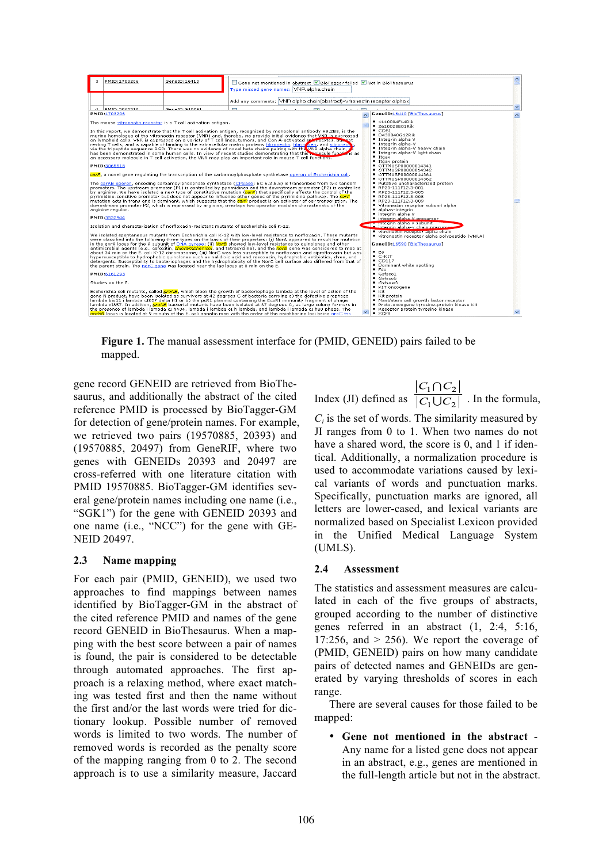

**Figure 1.** The manual assessment interface for (PMID, GENEID) pairs failed to be mapped.

gene record GENEID are retrieved from BioThesaurus, and additionally the abstract of the cited reference PMID is processed by BioTagger-GM for detection of gene/protein names. For example, we retrieved two pairs (19570885, 20393) and (19570885, 20497) from GeneRIF, where two genes with GENEIDs 20393 and 20497 are cross-referred with one literature citation with PMID 19570885. BioTagger-GM identifies several gene/protein names including one name (i.e., "SGK1") for the gene with GENEID 20393 and one name (i.e., "NCC") for the gene with GE-NEID 20497.

### **2.3 Name mapping**

For each pair (PMID, GENEID), we used two approaches to find mappings between names identified by BioTagger-GM in the abstract of the cited reference PMID and names of the gene record GENEID in BioThesaurus. When a mapping with the best score between a pair of names is found, the pair is considered to be detectable through automated approaches. The first approach is a relaxing method, where exact matching was tested first and then the name without the first and/or the last words were tried for dictionary lookup. Possible number of removed words is limited to two words. The number of removed words is recorded as the penalty score of the mapping ranging from 0 to 2. The second approach is to use a similarity measure, Jaccard

Index (JI) defined as  $\frac{|C_1 \cap C_2|}{|C_1 \cup C_2|}$ . In the formula,

 $C_i$  is the set of words. The similarity measured by JI ranges from 0 to 1. When two names do not have a shared word, the score is 0, and 1 if identical. Additionally, a normalization procedure is used to accommodate variations caused by lexical variants of words and punctuation marks. Specifically, punctuation marks are ignored, all letters are lower-cased, and lexical variants are normalized based on Specialist Lexicon provided in the Unified Medical Language System (UMLS).

### **2.4 Assessment**

The statistics and assessment measures are calculated in each of the five groups of abstracts, grouped according to the number of distinctive genes referred in an abstract (1, 2:4, 5:16, 17:256, and  $> 256$ ). We report the coverage of (PMID, GENEID) pairs on how many candidate pairs of detected names and GENEIDs are generated by varying thresholds of scores in each range.

There are several causes for those failed to be mapped:

• **Gene not mentioned in the abstract** - Any name for a listed gene does not appear in an abstract, e.g., genes are mentioned in the full-length article but not in the abstract.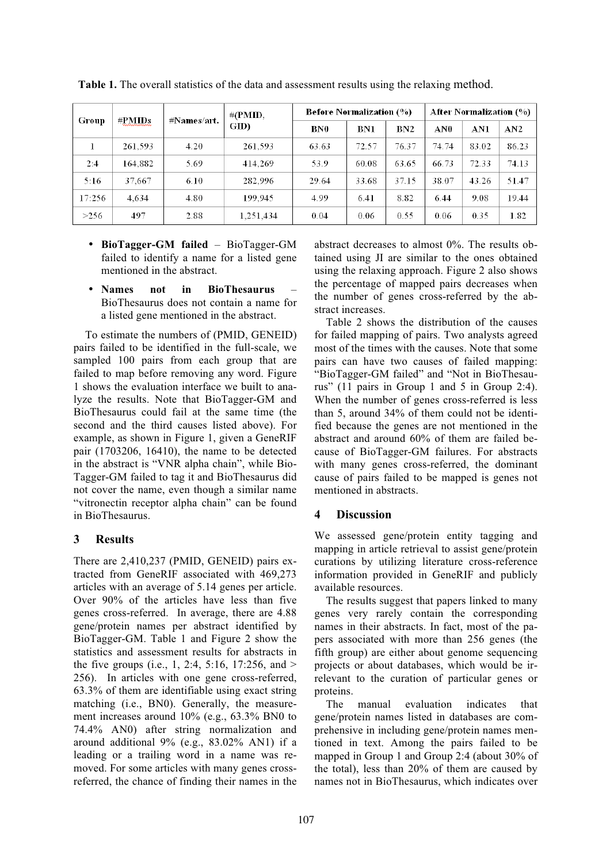| Group  | #PMIDs  | #Names/art. | #CPMID.<br>GID) | <b>Before Normalization (%)</b> |       |                 | <b>After Normalization (%)</b> |       |       |
|--------|---------|-------------|-----------------|---------------------------------|-------|-----------------|--------------------------------|-------|-------|
|        |         |             |                 | BN0                             | BN1   | BN <sub>2</sub> | AN0                            | AN1   | AN2   |
|        | 261,593 | 4.20        | 261.593         | 63.63                           | 72.57 | 76.37           | 74.74                          | 83.02 | 86.23 |
| 2:4    | 164.882 | 5.69        | 414,269         | 53.9                            | 60.08 | 63.65           | 66.73                          | 72.33 | 74.13 |
| 5:16   | 37,667  | 6.10        | 282.996         | 29.64                           | 33.68 | 37.15           | 38.07                          | 43.26 | 51.47 |
| 17:256 | 4.634   | 4.80        | 199.945         | 4.99                            | 6.41  | 8.82            | 6.44                           | 9.08  | 19.44 |
| >256   | 497     | 2.88        | 1,251,434       | 0.04                            | 0.06  | 0.55            | 0.06                           | 0.35  | 1.82  |

**Table 1.** The overall statistics of the data and assessment results using the relaxing method.

- **BioTagger-GM failed**  BioTagger-GM failed to identify a name for a listed gene mentioned in the abstract.
- **Names not in BioThesaurus** BioThesaurus does not contain a name for a listed gene mentioned in the abstract.

To estimate the numbers of (PMID, GENEID) pairs failed to be identified in the full-scale, we sampled 100 pairs from each group that are failed to map before removing any word. Figure 1 shows the evaluation interface we built to analyze the results. Note that BioTagger-GM and BioThesaurus could fail at the same time (the second and the third causes listed above). For example, as shown in Figure 1, given a GeneRIF pair (1703206, 16410), the name to be detected in the abstract is "VNR alpha chain", while Bio-Tagger-GM failed to tag it and BioThesaurus did not cover the name, even though a similar name "vitronectin receptor alpha chain" can be found in BioThesaurus.

# **3 Results**

There are 2,410,237 (PMID, GENEID) pairs extracted from GeneRIF associated with 469,273 articles with an average of 5.14 genes per article. Over 90% of the articles have less than five genes cross-referred. In average, there are 4.88 gene/protein names per abstract identified by BioTagger-GM. Table 1 and Figure 2 show the statistics and assessment results for abstracts in the five groups (i.e., 1, 2:4, 5:16, 17:256, and > 256). In articles with one gene cross-referred, 63.3% of them are identifiable using exact string matching (i.e., BN0). Generally, the measurement increases around 10% (e.g., 63.3% BN0 to 74.4% AN0) after string normalization and around additional 9% (e.g., 83.02% AN1) if a leading or a trailing word in a name was removed. For some articles with many genes crossreferred, the chance of finding their names in the abstract decreases to almost 0%. The results obtained using JI are similar to the ones obtained using the relaxing approach. Figure 2 also shows the percentage of mapped pairs decreases when the number of genes cross-referred by the abstract increases.

Table 2 shows the distribution of the causes for failed mapping of pairs. Two analysts agreed most of the times with the causes. Note that some pairs can have two causes of failed mapping: "BioTagger-GM failed" and "Not in BioThesaurus" (11 pairs in Group 1 and 5 in Group 2:4). When the number of genes cross-referred is less than 5, around 34% of them could not be identified because the genes are not mentioned in the abstract and around 60% of them are failed because of BioTagger-GM failures. For abstracts with many genes cross-referred, the dominant cause of pairs failed to be mapped is genes not mentioned in abstracts.

# **4 Discussion**

We assessed gene/protein entity tagging and mapping in article retrieval to assist gene/protein curations by utilizing literature cross-reference information provided in GeneRIF and publicly available resources.

The results suggest that papers linked to many genes very rarely contain the corresponding names in their abstracts. In fact, most of the papers associated with more than 256 genes (the fifth group) are either about genome sequencing projects or about databases, which would be irrelevant to the curation of particular genes or proteins.

The manual evaluation indicates that gene/protein names listed in databases are comprehensive in including gene/protein names mentioned in text. Among the pairs failed to be mapped in Group 1 and Group 2:4 (about 30% of the total), less than 20% of them are caused by names not in BioThesaurus, which indicates over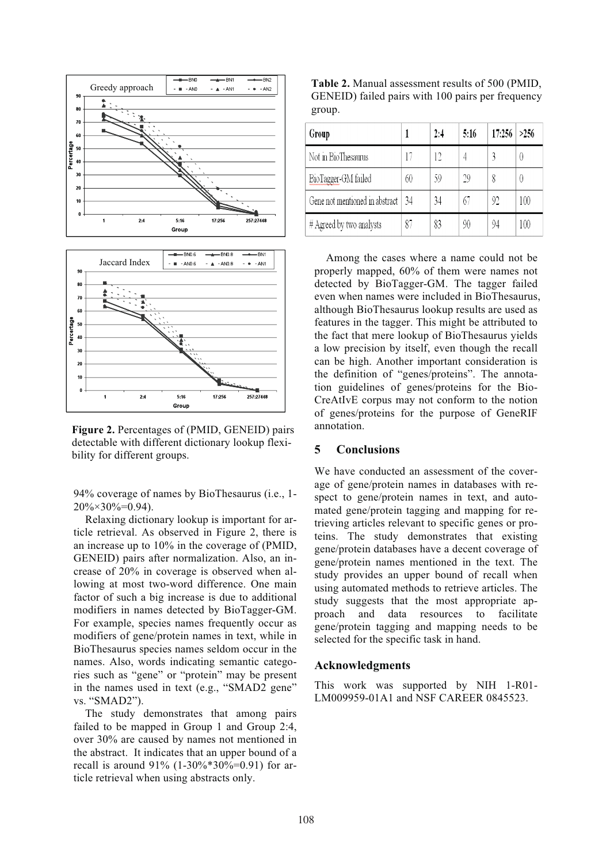

**Figure 2.** Percentages of (PMID, GENEID) pairs detectable with different dictionary lookup flexibility for different groups.

94% coverage of names by BioThesaurus (i.e., 1-  $20\% \times 30\% = 0.94$ .

Relaxing dictionary lookup is important for article retrieval. As observed in Figure 2, there is an increase up to 10% in the coverage of (PMID, GENEID) pairs after normalization. Also, an increase of 20% in coverage is observed when allowing at most two-word difference. One main factor of such a big increase is due to additional modifiers in names detected by BioTagger-GM. For example, species names frequently occur as modifiers of gene/protein names in text, while in BioThesaurus species names seldom occur in the names. Also, words indicating semantic categories such as "gene" or "protein" may be present in the names used in text (e.g., "SMAD2 gene" vs. "SMAD2").

The study demonstrates that among pairs failed to be mapped in Group 1 and Group 2:4, over 30% are caused by names not mentioned in the abstract. It indicates that an upper bound of a recall is around  $91\%$  (1-30%\*30%=0.91) for article retrieval when using abstracts only.

**Table 2.** Manual assessment results of 500 (PMID, GENEID) failed pairs with 100 pairs per frequency group.

| Group                          |    | 2:4 | 5:16 | 17:256 | >256 |
|--------------------------------|----|-----|------|--------|------|
| Not in BioThesaurus            |    | 12  |      |        |      |
| BioTagger-GM failed            | 60 | 59  | 29   | 8      |      |
| Gene not mentioned in abstract | 34 | 34  | 67   | 92     | 100  |
| $#$ Agreed by two analysts     | 87 | 83  | 90   | 94     | 100  |

Among the cases where a name could not be properly mapped, 60% of them were names not detected by BioTagger-GM. The tagger failed even when names were included in BioThesaurus, although BioThesaurus lookup results are used as features in the tagger. This might be attributed to the fact that mere lookup of BioThesaurus yields a low precision by itself, even though the recall can be high. Another important consideration is the definition of "genes/proteins". The annotation guidelines of genes/proteins for the Bio-CreAtIvE corpus may not conform to the notion of genes/proteins for the purpose of GeneRIF annotation.

#### **5 Conclusions**

We have conducted an assessment of the coverage of gene/protein names in databases with respect to gene/protein names in text, and automated gene/protein tagging and mapping for retrieving articles relevant to specific genes or proteins. The study demonstrates that existing gene/protein databases have a decent coverage of gene/protein names mentioned in the text. The study provides an upper bound of recall when using automated methods to retrieve articles. The study suggests that the most appropriate approach and data resources to facilitate gene/protein tagging and mapping needs to be selected for the specific task in hand.

#### **Acknowledgments**

This work was supported by NIH 1-R01- LM009959-01A1 and NSF CAREER 0845523.